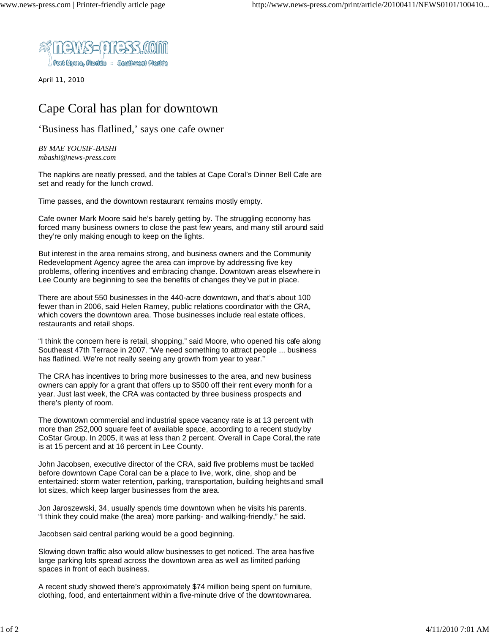

April 11, 2010

## Cape Coral has plan for downtown

'Business has flatlined,' says one cafe owner

*BY MAE YOUSIF-BASHI mbashi@news-press.com*

The napkins are neatly pressed, and the tables at Cape Coral's Dinner Bell Cafe are set and ready for the lunch crowd.

Time passes, and the downtown restaurant remains mostly empty.

Cafe owner Mark Moore said he's barely getting by. The struggling economy has forced many business owners to close the past few years, and many still around said they're only making enough to keep on the lights.

But interest in the area remains strong, and business owners and the Community Redevelopment Agency agree the area can improve by addressing five key problems, offering incentives and embracing change. Downtown areas elsewhere in Lee County are beginning to see the benefits of changes they've put in place.

There are about 550 businesses in the 440-acre downtown, and that's about 100 fewer than in 2006, said Helen Ramey, public relations coordinator with the CRA, which covers the downtown area. Those businesses include real estate offices, restaurants and retail shops.

"I think the concern here is retail, shopping," said Moore, who opened his cafe along Southeast 47th Terrace in 2007. "We need something to attract people ... business has flatlined. We're not really seeing any growth from year to year."

The CRA has incentives to bring more businesses to the area, and new business owners can apply for a grant that offers up to \$500 off their rent every month for a year. Just last week, the CRA was contacted by three business prospects and there's plenty of room.

The downtown commercial and industrial space vacancy rate is at 13 percent with more than 252,000 square feet of available space, according to a recent study by CoStar Group. In 2005, it was at less than 2 percent. Overall in Cape Coral, the rate is at 15 percent and at 16 percent in Lee County.

John Jacobsen, executive director of the CRA, said five problems must be tackled before downtown Cape Coral can be a place to live, work, dine, shop and be entertained: storm water retention, parking, transportation, building heights and small lot sizes, which keep larger businesses from the area.

Jon Jaroszewski, 34, usually spends time downtown when he visits his parents. "I think they could make (the area) more parking- and walking-friendly," he said.

Jacobsen said central parking would be a good beginning.

Slowing down traffic also would allow businesses to get noticed. The area has five large parking lots spread across the downtown area as well as limited parking spaces in front of each business.

A recent study showed there's approximately \$74 million being spent on furniture, clothing, food, and entertainment within a five-minute drive of the downtown area.